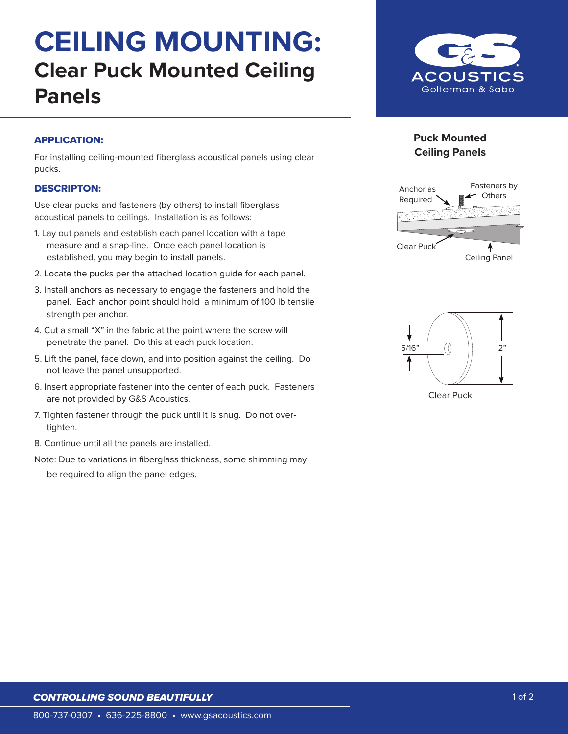# **CEILING MOUNTING: Clear Puck Mounted Ceiling Panels**



### APPLICATION:

For installing ceiling-mounted fiberglass acoustical panels using clear pucks.

#### DESCRIPTON:

Use clear pucks and fasteners (by others) to install fiberglass acoustical panels to ceilings. Installation is as follows:

- 1. Lay out panels and establish each panel location with a tape measure and a snap-line. Once each panel location is established, you may begin to install panels.
- 2. Locate the pucks per the attached location guide for each panel.
- 3. Install anchors as necessary to engage the fasteners and hold the panel. Each anchor point should hold a minimum of 100 lb tensile strength per anchor.
- 4. Cut a small "X" in the fabric at the point where the screw will penetrate the panel. Do this at each puck location.
- 5. Lift the panel, face down, and into position against the ceiling. Do not leave the panel unsupported.
- 6. Insert appropriate fastener into the center of each puck. Fasteners are not provided by G&S Acoustics.
- 7. Tighten fastener through the puck until it is snug. Do not overtighten.
- 8. Continue until all the panels are installed.
- Note: Due to variations in fiberglass thickness, some shimming may
	- be required to align the panel edges.

## **Puck Mounted Ceiling Panels**





Clear Puck